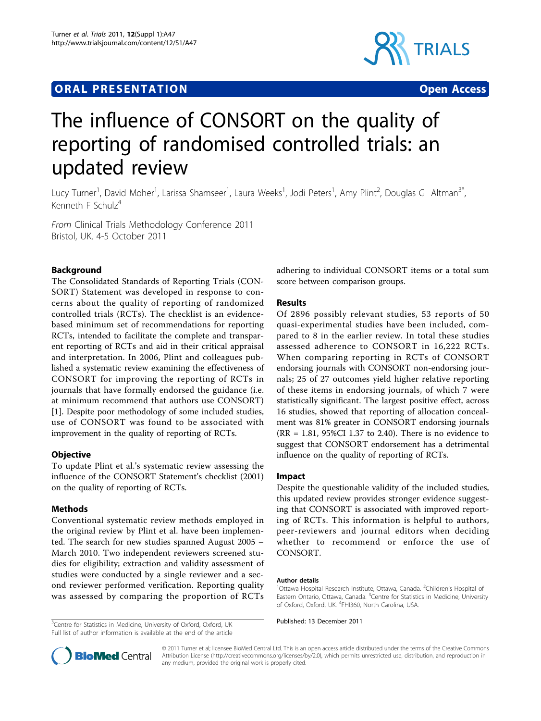# **ORAL PRESENTATION CONSUMING ACCESS**



# The influence of CONSORT on the quality of reporting of randomised controlled trials: an updated review

Lucy Turner<sup>1</sup>, David Moher<sup>1</sup>, Larissa Shamseer<sup>1</sup>, Laura Weeks<sup>1</sup>, Jodi Peters<sup>1</sup>, Amy Plint<sup>2</sup>, Douglas G Altman<sup>3\*</sup>, Kenneth F Schulz $4$ 

From Clinical Trials Methodology Conference 2011 Bristol, UK. 4-5 October 2011

## Background

The Consolidated Standards of Reporting Trials (CON-SORT) Statement was developed in response to concerns about the quality of reporting of randomized controlled trials (RCTs). The checklist is an evidencebased minimum set of recommendations for reporting RCTs, intended to facilitate the complete and transparent reporting of RCTs and aid in their critical appraisal and interpretation. In 2006, Plint and colleagues published a systematic review examining the effectiveness of CONSORT for improving the reporting of RCTs in journals that have formally endorsed the guidance (i.e. at minimum recommend that authors use CONSORT) [[1\]](#page-1-0). Despite poor methodology of some included studies, use of CONSORT was found to be associated with improvement in the quality of reporting of RCTs.

### **Objective**

To update Plint et al.'s systematic review assessing the influence of the CONSORT Statement's checklist (2001) on the quality of reporting of RCTs.

#### Methods

Conventional systematic review methods employed in the original review by Plint et al. have been implemented. The search for new studies spanned August 2005 – March 2010. Two independent reviewers screened studies for eligibility; extraction and validity assessment of studies were conducted by a single reviewer and a second reviewer performed verification. Reporting quality was assessed by comparing the proportion of RCTs

<sup>3</sup> Centre for Statistics in Medicine, University of Oxford, Oxford, UK Published: 13 December 2011 Full list of author information is available at the end of the article

adhering to individual CONSORT items or a total sum score between comparison groups.

#### Results

Of 2896 possibly relevant studies, 53 reports of 50 quasi-experimental studies have been included, compared to 8 in the earlier review. In total these studies assessed adherence to CONSORT in 16,222 RCTs. When comparing reporting in RCTs of CONSORT endorsing journals with CONSORT non-endorsing journals; 25 of 27 outcomes yield higher relative reporting of these items in endorsing journals, of which 7 were statistically significant. The largest positive effect, across 16 studies, showed that reporting of allocation concealment was 81% greater in CONSORT endorsing journals (RR = 1.81, 95%CI 1.37 to 2.40). There is no evidence to suggest that CONSORT endorsement has a detrimental influence on the quality of reporting of RCTs.

#### Impact

Despite the questionable validity of the included studies, this updated review provides stronger evidence suggesting that CONSORT is associated with improved reporting of RCTs. This information is helpful to authors, peer-reviewers and journal editors when deciding whether to recommend or enforce the use of CONSORT.

#### Author details

<sup>1</sup>Ottawa Hospital Research Institute, Ottawa, Canada. <sup>2</sup>Children's Hospital of Eastern Ontario, Ottawa, Canada. <sup>3</sup>Centre for Statistics in Medicine, University of Oxford, Oxford, UK. <sup>4</sup>FHI360, North Carolina, USA.



© 2011 Turner et al; licensee BioMed Central Ltd. This is an open access article distributed under the terms of the Creative Commons Attribution License [\(http://creativecommons.org/licenses/by/2.0](http://creativecommons.org/licenses/by/2.0)), which permits unrestricted use, distribution, and reproduction in any medium, provided the original work is properly cited.